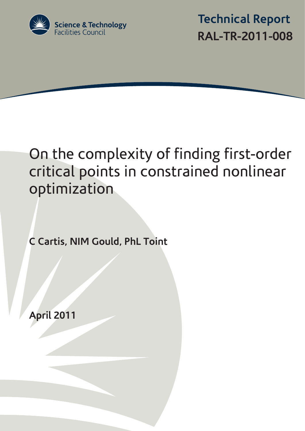

 **Technical Report RAL-TR-2011-008**

# On the complexity of finding first-order critical points in constrained nonlinear optimization

**C Cartis, NIM Gould, PhL Toint** 

**April 2011**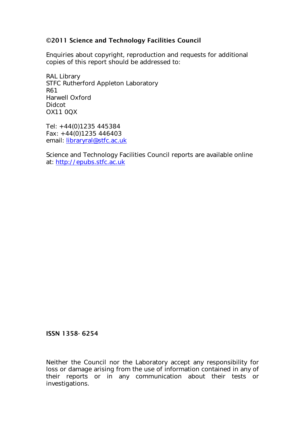### ©2011 Science and Technology Facilities Council

Enquiries about copyright, reproduction and requests for additional copies of this report should be addressed to:

RAL Library STFC Rutherford Appleton Laboratory R61 Harwell Oxford Didcot OX11 0QX

Tel: +44(0)1235 445384 Fax: +44(0)1235 446403 email: [libraryral@stfc.ac.uk](mailto:libraryral@stfc.ac.uk)

Science and Technology Facilities Council reports are available online at: [http://epubs.stfc.ac.uk](http://epubs.stfc.ac.uk/)

#### ISSN 1358- 6254

Neither the Council nor the Laboratory accept any responsibility for loss or damage arising from the use of information contained in any of their reports or in any communication about their tests or investigations.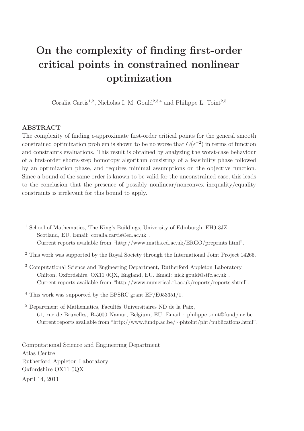## On the complexity of finding first-order critical points in constrained nonlinear optimization

Coralia Cartis<sup>1,2</sup>, Nicholas I. M. Gould<sup>2,3,4</sup> and Philippe L. Toint<sup>2,5</sup>

#### ABSTRACT

The complexity of finding  $\epsilon$ -approximate first-order critical points for the general smooth constrained optimization problem is shown to be no worse that  $O(\epsilon^{-2})$  in terms of function and constraints evaluations. This result is obtained by analyzing the worst-case behaviour of a first-order shorts-step homotopy algorithm consisting of a feasibility phase followed by an optimization phase, and requires minimal assumptions on the objective function. Since a bound of the same order is known to be valid for the unconstrained case, this leads to the conclusion that the presence of possibly nonlinear/nonconvex inequality/equality constraints is irrelevant for this bound to apply.

<sup>1</sup> School of Mathematics, The King's Buildings, University of Edinburgh, EH9 3JZ, Scotland, EU. Email: coralia.cartis@ed.ac.uk . Current reports available from "http://www.maths.ed.ac.uk/ERGO/preprints.html".

 $2$  This work was supported by the Royal Society through the International Joint Project 14265.

<sup>3</sup> Computational Science and Engineering Department, Rutherford Appleton Laboratory, Chilton, Oxfordshire, OX11 0QX, England, EU. Email: nick.gould@stfc.ac.uk . Current reports available from "http://www.numerical.rl.ac.uk/reports/reports.shtml".

<sup>4</sup> This work was supported by the EPSRC grant EP/E053351/1.

 $5$  Department of Mathematics, Facultés Universitaires ND de la Paix, 61, rue de Bruxelles, B-5000 Namur, Belgium, EU. Email : philippe.toint@fundp.ac.be . Current reports available from "http://www.fundp.ac.be/∼phtoint/pht/publications.html".

Computational Science and Engineering Department Atlas Centre Rutherford Appleton Laboratory Oxfordshire OX11 0QX April 14, 2011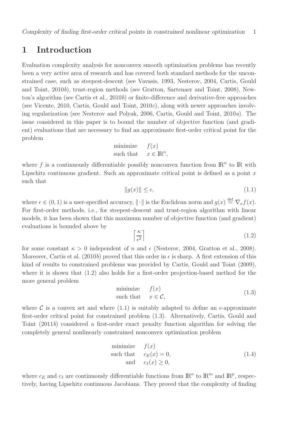## 1 Introduction

Evaluation complexity analysis for nonconvex smooth optimization problems has recently been a very active area of research and has covered both standard methods for the unconstrained case, such as steepest-descent (see Vavasis, 1993, Nesterov, 2004, Cartis, Gould and Toint, 2010b), trust-region methods (see Gratton, Sartenaer and Toint, 2008), Newton's algorithm (see Cartis et al., 2010b) or finite-difference and derivative-free approaches (see Vicente, 2010, Cartis, Gould and Toint,  $2010c$ ), along with newer approaches involving regularization (see Nesterov and Polyak, 2006, Cartis, Gould and Toint, 2010a). The issue considered in this paper is to bound the number of objective function (and gradient) evaluations that are necessary to find an approximate first-order critical point for the problem

minimize 
$$
f(x)
$$
  
such that  $x \in \mathbb{R}^n$ ,

where f is a continuously differentiable possibly nonconvex function from  $\mathbb{R}^n$  to  $\mathbb{R}$  with Lipschitz continuous gradient. Such an approximate critical point is defined as a point  $x$ such that

$$
||g(x)|| \le \epsilon,\tag{1.1}
$$

where  $\epsilon \in (0, 1)$  is a user-specified accuracy,  $\|\cdot\|$  is the Euclidean norm and  $g(x) \stackrel{\text{def}}{=} \nabla_x f(x)$ . For first-order methods, i.e., for steepest-descent and trust-region algorithm with linear models, it has been shown that this maximum number of objective function (and gradient) evaluations is bounded above by

$$
\left\lceil \frac{\kappa}{\epsilon^2} \right\rceil \tag{1.2}
$$

for some constant  $\kappa > 0$  independent of n and  $\epsilon$  (Nesterov, 2004, Gratton et al., 2008). Moreover, Cartis et al. (2010b) proved that this order in  $\epsilon$  is sharp. A first extension of this kind of results to constrained problems was provided by Cartis, Gould and Toint (2009), where it is shown that (1.2) also holds for a first-order projection-based method for the more general problem

$$
\begin{array}{ll}\text{minimize} & f(x) \\ \text{such that} & x \in \mathcal{C}, \end{array} \tag{1.3}
$$

where C is a convex set and where  $(1.1)$  is suitably adapted to define an  $\epsilon$ -approximate first-order critical point for constrained problem (1.3). Alternatively, Cartis, Gould and Toint (2011b) considered a first-order exact penalty function algorithm for solving the completely general nonlinearly constrained nonconvex optimization problem

minimize 
$$
f(x)
$$
  
such that  $c_E(x) = 0$ ,  
and  $c_I(x) \ge 0$ , (1.4)

where  $c_E$  and  $c_I$  are continuously differentiable functions from  $\mathbb{R}^n$  to  $\mathbb{R}^m$  and  $\mathbb{R}^p$ , respectively, having Lipschitz continuous Jacobians. They proved that the complexity of finding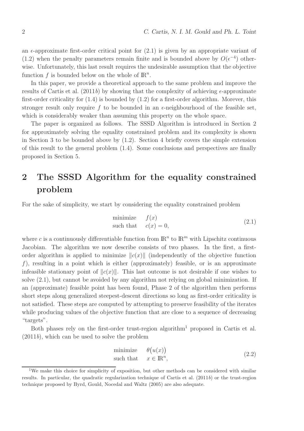an  $\epsilon$ -approximate first-order critical point for  $(2.1)$  is given by an appropriate variant of (1.2) when the penalty parameters remain finite and is bounded above by  $O(\epsilon^{-4})$  otherwise. Unfortunately, this last result requires the undesirable assumption that the objective function  $f$  is bounded below on the whole of  $\mathbb{R}^n$ .

In this paper, we provide a theoretical approach to the same problem and improve the results of Cartis et al. (2011b) by showing that the complexity of achieving  $\epsilon$ -approximate first-order criticality for  $(1.4)$  is bounded by  $(1.2)$  for a first-order algorithm. Morever, this stronger result only require f to be bounded in an  $\epsilon$ -neighbourhood of the feasible set, which is considerably weaker than assuming this property on the whole space.

The paper is organized as follows. The SSSD Algorithm is introduced in Section 2 for approximately solving the equality constrained problem and its complexity is shown in Section 3 to be bounded above by (1.2). Section 4 briefly covers the simple extension of this result to the general problem (1.4). Some conclusions and perspectives are finally proposed in Section 5.

## 2 The SSSD Algorithm for the equality constrained problem

For the sake of simplicity, we start by considering the equality constrained problem

$$
\begin{array}{ll}\text{minimize} & f(x) \\ \text{such that} & c(x) = 0, \end{array} \tag{2.1}
$$

where c is a continuously differentiable function from  $\mathbb{R}^n$  to  $\mathbb{R}^m$  with Lipschitz continuous Jacobian. The algorithm we now describe consists of two phases. In the first, a firstorder algorithm is applied to minimize  $||c(x)||$  (independently of the objective function f), resulting in a point which is either (approximately) feasible, or is an approximate infeasible stationary point of  $||c(x)||$ . This last outcome is not desirable if one wishes to solve (2.1), but cannot be avoided by any algorithm not relying on global minimization. If an (approximate) feasible point has been found, Phase 2 of the algorithm then performs short steps along generalized steepest-descent directions so long as first-order criticality is not satisfied. These steps are computed by attempting to preserve feasibility of the iterates while producing values of the objective function that are close to a sequence of decreasing "targets".

Both phases rely on the first-order trust-region algorithm<sup>1</sup> proposed in Cartis et al.  $(2011b)$ , which can be used to solve the problem

minimize 
$$
\theta(u(x))
$$
  
such that  $x \in \mathbb{R}^n$ , (2.2)

<sup>&</sup>lt;sup>1</sup>We make this choice for simplicity of exposition, but other methods can be considered with similar results. In particular, the quadratic regularization technique of Cartis et al. (2011b) or the trust-region technique proposed by Byrd, Gould, Nocedal and Waltz (2005) are also adequate.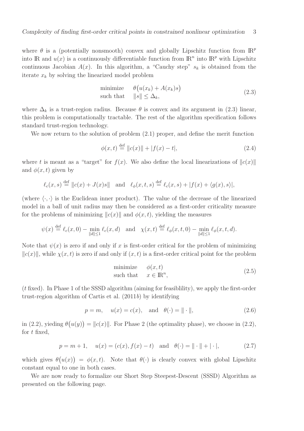where  $\theta$  is a (potentially nonsmooth) convex and globally Lipschitz function from  $\mathbb{R}^p$ into IR and  $u(x)$  is a continuously differentiable function from  $\mathbb{R}^n$  into  $\mathbb{R}^p$  with Lipschitz continuous Jacobian  $A(x)$ . In this algorithm, a "Cauchy step"  $s_k$  is obtained from the iterate  $x_k$  by solving the linearized model problem

minimize 
$$
\theta(u(x_k) + A(x_k)s)
$$
  
such that  $||s|| \leq \Delta_k$ ,  $(2.3)$ 

where  $\Delta_k$  is a trust-region radius. Because  $\theta$  is convex and its argument in (2.3) linear, this problem is computationally tractable. The rest of the algorithm specification follows standard trust-region technology.

We now return to the solution of problem (2.1) proper, and define the merit function

$$
\phi(x,t) \stackrel{\text{def}}{=} ||c(x)|| + |f(x) - t|,
$$
\n(2.4)

where t is meant as a "target" for  $f(x)$ . We also define the local linearizations of  $||c(x)||$ and  $\phi(x, t)$  given by

$$
\ell_c(x,s) \stackrel{\text{def}}{=} ||c(x) + J(x)s|| \quad \text{and} \quad \ell_\phi(x,t,s) \stackrel{\text{def}}{=} \ell_c(x,s) + |f(x) + \langle g(x), s \rangle|,
$$

(where  $\langle \cdot, \cdot \rangle$  is the Euclidean inner product). The value of the decrease of the linearized model in a ball of unit radius may then be considered as a first-order criticality measure for the problems of minimizing  $||c(x)||$  and  $\phi(x, t)$ , yielding the measures

$$
\psi(x) \stackrel{\text{def}}{=} \ell_c(x,0) - \min_{\|d\| \le 1} \ell_c(x,d) \quad \text{and} \quad \chi(x,t) \stackrel{\text{def}}{=} \ell_\phi(x,t,0) - \min_{\|d\| \le 1} \ell_\phi(x,t,d).
$$

Note that  $\psi(x)$  is zero if and only if x is first-order critical for the problem of minimizing  $||c(x)||$ , while  $\chi(x, t)$  is zero if and only if  $(x, t)$  is a first-order critical point for the problem

minimize 
$$
\phi(x, t)
$$
  
such that  $x \in \mathbb{R}^n$ , (2.5)

(t fixed). In Phase 1 of the SSSD algorithm (aiming for feasiblility), we apply the first-order trust-region algorithm of Cartis et al. (2011b) by identifying

$$
p = m
$$
,  $u(x) = c(x)$ , and  $\theta(\cdot) = || \cdot ||$ , (2.6)

in (2.2), yieding  $\theta(u(y)) = ||c(x)||$ . For Phase 2 (the optimality phase), we choose in (2.2), for  $t$  fixed,

$$
p = m + 1
$$
,  $u(x) = (c(x), f(x) - t)$  and  $\theta(\cdot) = || \cdot || + |\cdot|$ , (2.7)

which gives  $\theta(u(x)) = \phi(x, t)$ . Note that  $\theta(\cdot)$  is clearly convex with global Lipschitz constant equal to one in both cases.

We are now ready to formalize our Short Step Steepest-Descent (SSSD) Algorithm as presented on the following page.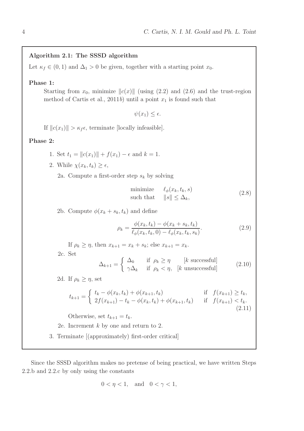#### Algorithm 2.1: The SSSD algorithm

Let  $\kappa_f \in (0,1)$  and  $\Delta_1 > 0$  be given, together with a starting point  $x_0$ .

#### Phase 1:

Starting from  $x_0$ , minimize  $||c(x)||$  (using (2.2) and (2.6) and the trust-region method of Cartis et al., 2011b) until a point  $x_1$  is found such that

 $\psi(x_1) \leq \epsilon$ .

If  $||c(x_1)|| > \kappa_f \epsilon$ , terminate [locally infeasible].

#### Phase 2:

- 1. Set  $t_1 = ||c(x_1)|| + f(x_1) \epsilon$  and  $k = 1$ .
- 2. While  $\chi(x_k, t_k) \geq \epsilon$ ,

2a. Compute a first-order step  $s_k$  by solving

$$
\begin{array}{ll}\text{minimize} & \ell_{\phi}(x_k, t_k, s) \\ \text{such that} & \|s\| \leq \Delta_k, \end{array} \tag{2.8}
$$

2b. Compute  $\phi(x_k + s_k, t_k)$  and define

$$
\rho_k = \frac{\phi(x_k, t_k) - \phi(x_k + s_k, t_k)}{\ell_{\phi}(x_k, t_k, 0) - \ell_{\phi}(x_k, t_k, s_k)}.
$$
\n(2.9)

If  $\rho_k \geq \eta$ , then  $x_{k+1} = x_k + s_k$ ; else  $x_{k+1} = x_k$ .

2c. Set

$$
\Delta_{k+1} = \begin{cases}\n\Delta_k & \text{if } \rho_k \ge \eta \quad [k \text{ successful}]\n\\ \gamma \Delta_k & \text{if } \rho_k < \eta, \quad [k \text{ unsuccessful}]\n\end{cases} \tag{2.10}
$$

2d. If  $\rho_k \geq \eta$ , set

$$
t_{k+1} = \begin{cases} t_k - \phi(x_k, t_k) + \phi(x_{k+1}, t_k) & \text{if } f(x_{k+1}) \ge t_k, \\ 2f(x_{k+1}) - t_k - \phi(x_k, t_k) + \phi(x_{k+1}, t_k) & \text{if } f(x_{k+1}) < t_k. \end{cases}
$$
(2.11)

Otherwise, set  $t_{k+1} = t_k$ .

2e. Increment k by one and return to 2.

3. Terminate [(approximately) first-order critical]

Since the SSSD algorithm makes no pretense of being practical, we have written Steps 2.2.b and 2.2.c by only using the constants

$$
0 < \eta < 1, \quad \text{and} \quad 0 < \gamma < 1,
$$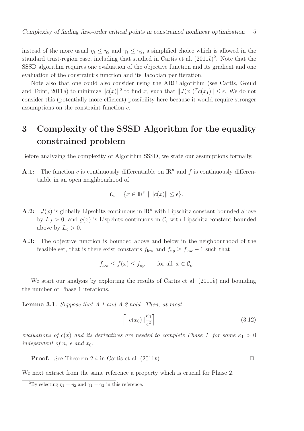instead of the more usual  $\eta_1 \leq \eta_2$  and  $\gamma_1 \leq \gamma_2$ , a simplified choice which is allowed in the standard trust-region case, including that studied in Cartis et al.  $(2011b)^2$ . Note that the SSSD algorithm requires one evaluation of the objective function and its gradient and one evaluation of the constraint's function and its Jacobian per iteration.

Note also that one could also consider using the ARC algorithm (see Cartis, Gould and Toint, 2011a) to minimize  $||c(x)||^2$  to find  $x_1$  such that  $||J(x_1)^T c(x_1)|| \leq \epsilon$ . We do not consider this (potentially more efficient) possibility here because it would require stronger assumptions on the constraint function c.

## 3 Complexity of the SSSD Algorithm for the equality constrained problem

Before analyzing the complexity of Algorithm SSSD, we state our assumptions formally.

**A.1:** The function c is continuously differentiable on  $\mathbb{R}^n$  and f is continuously differentiable in an open neighbourhood of

$$
\mathcal{C}_{\epsilon} = \{ x \in \mathbb{R}^n \mid \|c(x)\| \le \epsilon \}.
$$

- **A.2:**  $J(x)$  is globally Lipschitz continuous in  $\mathbb{R}^n$  with Lipschitz constant bounded above by  $L_J > 0$ , and  $g(x)$  is Lispchitz continuous in  $\mathcal{C}_{\epsilon}$  with Lipschitz constant bounded above by  $L_q > 0$ .
- A.3: The objective function is bounded above and below in the neighbourhood of the feasible set, that is there exist constants  $f_{\text{low}}$  and  $f_{\text{up}} \ge f_{\text{low}} - 1$  such that

$$
f_{\text{low}} \le f(x) \le f_{\text{up}}
$$
 for all  $x \in \mathcal{C}_{\epsilon}$ .

We start our analysis by exploiting the results of Cartis et al.  $(2011b)$  and bounding the number of Phase 1 iterations.

Lemma 3.1. Suppose that A.1 and A.2 hold. Then, at most

$$
\left[ \left\| c(x_0) \right\| \frac{\kappa_1}{\epsilon^2} \right] \tag{3.12}
$$

evaluations of  $c(x)$  and its derivatives are needed to complete Phase 1, for some  $\kappa_1 > 0$ independent of  $n, \epsilon$  and  $x_0$ .

**Proof.** See Theorem 2.4 in Cartis et al.  $(2011b)$ .

We next extract from the same reference a property which is crucial for Phase 2.

<sup>&</sup>lt;sup>2</sup>By selecting  $\eta_1 = \eta_2$  and  $\gamma_1 = \gamma_2$  in this reference.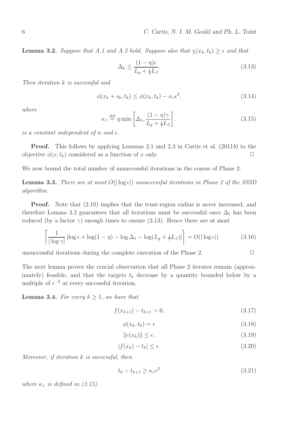**Lemma 3.2.** Suppose that A.1 and A.2 hold. Suppose also that  $\chi(x_k, t_k) \geq \epsilon$  and that

$$
\Delta_k \le \frac{(1-\eta)\epsilon}{L_g + \frac{1}{2}L_J}.\tag{3.13}
$$

Then iteration k is successful and

$$
\phi(x_k + s_k, t_k) \le \phi(x_k, t_k) - \kappa_c \epsilon^2,\tag{3.14}
$$

where

$$
\kappa_c \stackrel{\text{def}}{=} \eta \min \left[ \Delta_1, \frac{(1 - \eta)\gamma}{L_g + \frac{1}{2}L_J} \right]. \tag{3.15}
$$

is a constant independent of n and  $\epsilon$ .

Proof. This follows by applying Lemmas 2.1 and 2.3 in Cartis et al. (2011b) to the objective  $\phi(x, t_k)$  considered as a function of x only.

We now bound the total number of unsuccessful iterations in the course of Phase 2.

**Lemma 3.3.** There are at most  $O(|\log \epsilon|)$  unsuccessful iterations in Phase 2 of the SSSD algorithm.

Proof. Note that (2.10) implies that the trust-region radius is never increased, and therefore Lemma 3.2 guarantees that all iterations must be successful once  $\Delta_1$  has been reduced (by a factor  $\gamma$ ) enough times to ensure (3.13). Hence there are at most

$$
\left\lceil \frac{1}{|\log \gamma|} \left| \log \epsilon + \log(1 - \eta) - \log \Delta_1 - \log(L_g + \frac{1}{2}L_J) \right| \right\rceil = O(|\log \epsilon|)
$$
 (3.16)

unsuccessful iterations during the complete execution of the Phase 2.  $\Box$ 

The next lemma proves the crucial observation that all Phase 2 iterates remain (approximately) feasible, and that the targets  $t_k$  decrease by a quantity bounded below by a multiple of  $\epsilon^{-2}$  at every successful iteration.

**Lemma 3.4.** For every  $k \geq 1$ , we have that

$$
f(x_{k+1}) - t_{k+1} > 0,\t\t(3.17)
$$

$$
\phi(x_k, t_k) = \epsilon \tag{3.18}
$$

$$
||c(x_k)|| \le \epsilon,\tag{3.19}
$$

$$
|f(x_k) - t_k| \le \epsilon. \tag{3.20}
$$

Moreover, if iteration k is successful, then

$$
t_k - t_{k+1} \ge \kappa_c \epsilon^2 \tag{3.21}
$$

where  $\kappa_c$  is defined in (3.15).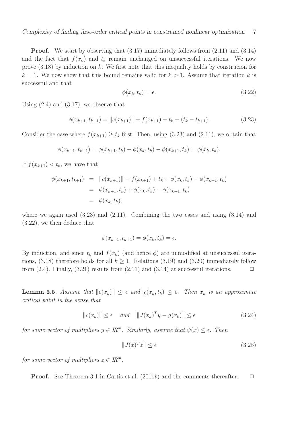Proof. We start by observing that (3.17) immediately follows from (2.11) and (3.14) and the fact that  $f(x_k)$  and  $t_k$  remain unchanged on unsuccessful iterations. We now prove  $(3.18)$  by induction on k. We first note that this inequality holds by construcion for  $k = 1$ . We now show that this bound remains valid for  $k > 1$ . Assume that iteration k is successful and that

$$
\phi(x_k, t_k) = \epsilon. \tag{3.22}
$$

Using  $(2.4)$  and  $(3.17)$ , we observe that

$$
\phi(x_{k+1}, t_{k+1}) = ||c(x_{k+1})|| + f(x_{k+1}) - t_k + (t_k - t_{k+1}). \tag{3.23}
$$

Consider the case where  $f(x_{k+1}) \ge t_k$  first. Then, using (3.23) and (2.11), we obtain that

$$
\phi(x_{k+1}, t_{k+1}) = \phi(x_{k+1}, t_k) + \phi(x_k, t_k) - \phi(x_{k+1}, t_k) = \phi(x_k, t_k).
$$

If  $f(x_{k+1}) < t_k$ , we have that

$$
\begin{aligned}\n\phi(x_{k+1}, t_{k+1}) &= \|c(x_{k+1})\| - f(x_{k+1}) + t_k + \phi(x_k, t_k) - \phi(x_{k+1}, t_k) \\
&= \phi(x_{k+1}, t_k) + \phi(x_k, t_k) - \phi(x_{k+1}, t_k) \\
&= \phi(x_k, t_k),\n\end{aligned}
$$

where we again used (3.23) and (2.11). Combining the two cases and using (3.14) and (3.22), we then deduce that

$$
\phi(x_{k+1}, t_{k+1}) = \phi(x_k, t_k) = \epsilon.
$$

By induction, and since  $t_k$  and  $f(x_k)$  (and hence  $\phi$ ) are unmodified at unsuccessul iterations, (3.18) therefore holds for all  $k > 1$ . Relations (3.19) and (3.20) immediately follow from (2.4). Finally, (3.21) results from (2.11) and (3.14) at successful iterations.  $\Box$ 

**Lemma 3.5.** Assume that  $||c(x_k)|| \leq \epsilon$  and  $\chi(x_k, t_k) \leq \epsilon$ . Then  $x_k$  is an approximate critical point in the sense that

$$
||c(x_k)|| \le \epsilon \quad and \quad ||J(x_k)^T y - g(x_k)|| \le \epsilon \tag{3.24}
$$

for some vector of multipliers  $y \in \mathbb{R}^m$ . Similarly, assume that  $\psi(x) \leq \epsilon$ . Then

$$
||J(x)^T z|| \le \epsilon \tag{3.25}
$$

for some vector of multipliers  $z \in \mathbb{R}^m$ .

**Proof.** See Theorem 3.1 in Cartis et al. (2011b) and the comments thereafter.  $\Box$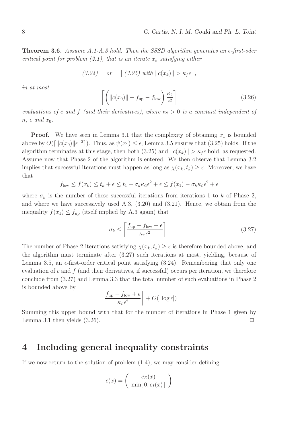**Theorem 3.6.** Assume A.1-A.3 hold. Then the SSSD algorithm generates an  $\epsilon$ -first-oder critical point for problem (2.1), that is an iterate  $x_k$  satisfying either

$$
(3.24) \quad or \quad [(3.25) \text{ with } ||c(x_k)|| > \kappa_f \epsilon],
$$

in at most

$$
\left[ \left( \left\| c(x_0) \right\| + f_{\text{up}} - f_{\text{low}} \right) \frac{\kappa_2}{\epsilon^2} \right]
$$
\n(3.26)

evaluations of c and f (and their derivatives), where  $\kappa_2 > 0$  is a constant independent of  $n, \epsilon \text{ and } x_0.$ 

**Proof.** We have seen in Lemma 3.1 that the complexity of obtaining  $x_1$  is bounded above by  $O(\lceil \|c(x_0)\| \epsilon^{-2}\rceil)$ . Thus, as  $\psi(x_1) \leq \epsilon$ , Lemma 3.5 ensures that (3.25) holds. If the algorithm terminates at this stage, then both (3.25) and  $||c(x_k)|| > \kappa_f \epsilon$  hold, as requested. Assume now that Phase 2 of the algorithm is entered. We then observe that Lemma 3.2 implies that successful iterations must happen as long as  $\chi(x_k, t_k) \geq \epsilon$ . Moreover, we have that

$$
f_{\text{low}} \le f(x_k) \le t_k + \epsilon \le t_1 - \sigma_k \kappa_c \epsilon^2 + \epsilon \le f(x_1) - \sigma_k \kappa_c \epsilon^2 + \epsilon
$$

where  $\sigma_k$  is the number of these successful iterations from iterations 1 to k of Phase 2, and where we have successively used A.3, (3.20) and (3.21). Hence, we obtain from the inequality  $f(x_1) \leq f_{\text{up}}$  (itself implied by A.3 again) that

$$
\sigma_k \le \left[ \frac{f_{\rm up} - f_{\rm low} + \epsilon}{\kappa_{\rm c} \epsilon^2} \right]. \tag{3.27}
$$

The number of Phase 2 iterations satisfying  $\chi(x_k, t_k) \geq \epsilon$  is therefore bounded above, and the algorithm must terminate after (3.27) such iterations at most, yielding, because of Lemma 3.5, an  $\epsilon$ -first-order critical point satisfying (3.24). Remembering that only one evaluation of c and  $f$  (and their derivatives, if successful) occurs per iteration, we therefore conclude from (3.27) and Lemma 3.3 that the total number of such evaluations in Phase 2 is bounded above by

$$
\left\lceil \frac{f_{\text{up}} - f_{\text{low}} + \epsilon}{\kappa_{\text{c}} \epsilon^2} \right\rceil + O(|\log \epsilon|)
$$

Summing this upper bound with that for the number of iterations in Phase 1 given by Lemma 3.1 then yields  $(3.26)$ .

## 4 Including general inequality constraints

If we now return to the solution of problem (1.4), we may consider defining

$$
c(x) = \left(\begin{array}{c} c_E(x) \\ \min[0, c_I(x)] \end{array}\right)
$$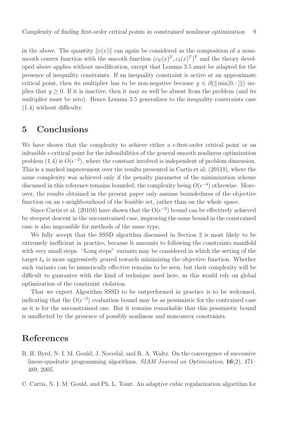in the above. The quantity  $\Vert c(x) \Vert$  can again be considered as the composition of a nonsmooth convex function with the smooth function  $(c_E(x)^T, c_I(x)^T)^T$  and the theory developed above applies without modification, except that Lemma 3.5 must be adapted for the presence of inequality constraints. If an inequality constraint is active at an approximate critical point, then its multiplier has to be non-negative because  $y \in \partial (\|\min[0, \cdot\|])$  implies that  $y \geq 0$ . If it is inactive, then it may as well be absent from the problem (and its multiplier must be zero). Hence Lemma 3.5 generalizes to the inequality constraints case (1.4) without difficulty.

## 5 Conclusions

We have shown that the complexity to achieve either a  $\epsilon$ -first-order critical point or an infeasible  $\epsilon$ -critical point for the infeasibilities of the general smooth nonlinear optimization problem (1.4) is  $O(\epsilon^{-2})$ , where the constant involved is independent of problem dimension. This is a marked improvement over the results presented in Cartis et al. (2011b), where the same complexity was achieved only if the penalty parameter of the minimization scheme discussed in this reference remains bounded, the complexity being  $O(\epsilon^{-4})$  othrewise. Moreover, the results obtained in the present paper only assume boundedness of the objective function on an  $\epsilon$ -neighbourhood of the feasible set, rather than on the whole space.

Since Cartis et al. (2010b) have shown that the  $O(\epsilon^{-2})$  bound can be effectively achieved by steepest descent in the unconstrained case, improving the same bound in the constrained case is also impossible for methods of the same type.

We fully accept that the SSSD algorithm discussed in Section 2 is most likely to be extremely inefficient in practice, because it amounts to following the constraints manifold with very small steps. "Long steps" variants may be considered in which the setting of the target  $t_k$  is more aggressively geared towards minimizing the objective function. Whether such variants can be numerically effective remains to be seen, but their complexity will be difficult to guarantee with the kind of technique used here, as this would rely on global optimization of the constraint violation.

That we expect Algorithm SSSD to be outperformed in practice is to be welcomed, indicating that the  $O(\epsilon^{-2})$  evaluation bound may be as pessimistic for the contrained case as it is for the unconstrained one. But it remains remarkable that this pessimistic bound is unaffected by the presence of possibly nonlinear and nonconvex constraints.

## References

R. H. Byrd, N. I. M. Gould, J. Nocedal, and R. A. Waltz. On the convergence of successive linear-quadratic programming algorithms. SIAM Journal on Optimization, 16(2), 471– 489, 2005.

C. Cartis, N. I. M. Gould, and Ph. L. Toint. An adaptive cubic regularization algorithm for